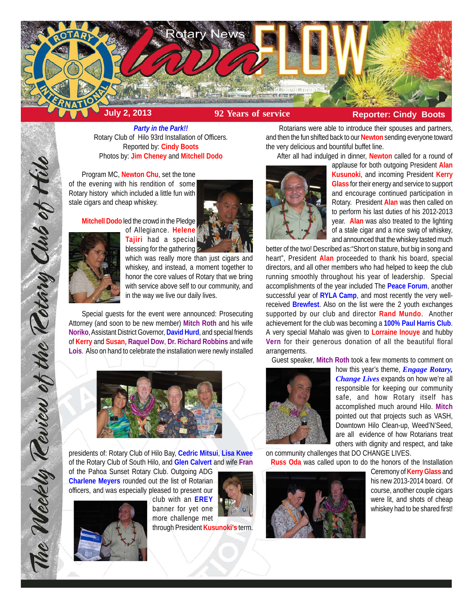

*Party in the Park!!* Rotary Club of Hilo 93rd Installation of Officers. Reported by: **Cindy Boots** Photos by: **Jim Cheney** and **Mitchell Dodo**

Program MC, **Newton Chu**, set the tone of the evening with his rendition of some Rotary history which included a little fun with stale cigars and cheap whiskey.

**Mitchell Dodo** led the crowd in the Pledge





The Weekly Review of the Retary Club of thile

blessing for the gathering which was really more than just cigars and whiskey, and instead, a moment together to honor the core values of Rotary that we bring with service above self to our community, and in the way we live our daily lives.

Special guests for the event were announced: Prosecuting Attorney (and soon to be new member) **Mitch Roth** and his wife **Noriko**, Assistant District Governor, **David Hurd**, and special friends of **Kerry** and **Susan**, **Raquel Dow**, **Dr. Richard Robbins** and wife **Lois**. Also on hand to celebrate the installation were newly installed



presidents of: Rotary Club of Hilo Bay, **Cedric Mitsui**, **Lisa Kwee** of the Rotary Club of South Hilo, and **Glen Calvert** and wife **Fran**

of the Pahoa Sunset Rotary Club. Outgoing ADG **Charlene Meyers** rounded out the list of Rotarian officers, and was especially pleased to present our



club with an **EREY** banner for yet one more challenge met



through President **Kusunoki's** term.

Rotarians were able to introduce their spouses and partners, and then the fun shifted back to our **Newton** sending everyone toward the very delicious and bountiful buffet line.

After all had indulged in dinner, **Newton** called for a round of



applause for both outgoing President **Alan Kusunoki**, and incoming President **Kerry Glass** for their energy and service to support and encourage continued participation in Rotary. President **Alan** was then called on to perform his last duties of his 2012-2013 year. **Alan** was also treated to the lighting of a stale cigar and a nice swig of whiskey, and announced that the whiskey tasted much

better of the two! Described as:"Short on stature, but big in song and heart", President **Alan** proceeded to thank his board, special directors, and all other members who had helped to keep the club running smoothly throughout his year of leadership. Special accomplishments of the year included The **Peace Forum**, another successful year of **RYLA Camp**, and most recently the very wellreceived **Brewfest**. Also on the list were the 2 youth exchanges supported by our club and director **Rand Mundo**. Another achievement for the club was becoming a **100% Paul Harris Club**. A very special Mahalo was given to **Lorraine Inouye** and hubby **Vern** for their generous donation of all the beautiful floral arrangements.

Guest speaker, **Mitch Roth** took a few moments to comment on



how this year's theme, *Engage Rotary, Change Lives* expands on how we're all responsible for keeping our community safe, and how Rotary itself has accomplished much around Hilo. **Mitch** pointed out that projects such as VASH, Downtown Hilo Clean-up, Weed'N'Seed, are all evidence of how Rotarians treat others with dignity and respect, and take

on community challenges that DO CHANGE LIVES. **Russ Oda** was called upon to do the honors of the Installation



Ceremony of **Kerry Glass** and his new 2013-2014 board. Of course, another couple cigars were lit, and shots of cheap whiskey had to be shared first!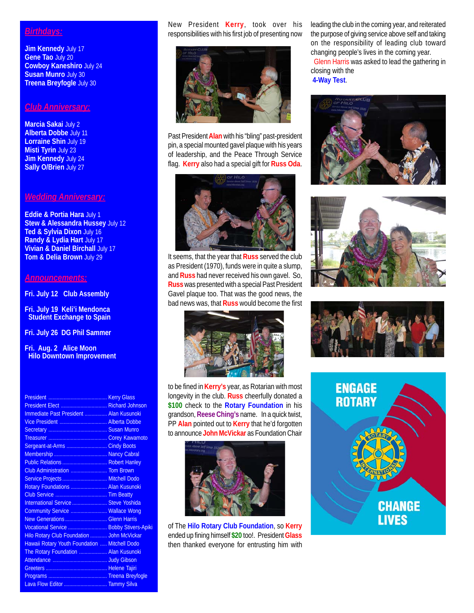## *Birthdays:*

**Jim Kennedy** July 17 **Gene Tao** July 20 **Cowboy Kaneshiro** July 24 **Susan Munro** July 30 **Treena Breyfogle** July 30

## *Club Anniversary:*

**Marcia Sakai** July 2 **Alberta Dobbe** July 11 **Lorraine Shin** July 19 **Misti Tyrin** July 23 **Jim Kennedy** July 24 **Sally O/Brien July 27** 

## *Wedding Anniversary:*

**Eddie & Portia Hara** July 1 **Stew & Alessandra Hussey** July 12 **Ted & Sylvia Dixon** July 16 **Randy & Lydia Hart** July 17 **Vivian & Daniel Birchall** July 17 **Tom & Delia Brown** July 29

## *Announcements:*

**Fri. July 12 Club Assembly**

**Fri. July 19 Keli'i Mendonca Student Exchange to Spain**

**Fri. July 26 DG Phil Sammer**

**Fri. Aug. 2 Alice Moon Hilo Downtown Improvement**

| President Elect  Richard Johnson              |  |
|-----------------------------------------------|--|
| Immediate Past President  Alan Kusunoki       |  |
|                                               |  |
|                                               |  |
|                                               |  |
| Sergeant-at-Arms  Cindy Boots                 |  |
|                                               |  |
| Public Relations  Robert Hanley               |  |
| Club Administration  Tom Brown                |  |
| Service Projects  Mitchell Dodo               |  |
| Rotary Foundations  Alan Kusunoki             |  |
|                                               |  |
| International Service  Steve Yoshida          |  |
| Community Service  Wallace Wong               |  |
| New Generations  Glenn Harris                 |  |
| Vocational Service  Bobby Stivers-Apiki       |  |
| Hilo Rotary Club Foundation  John McVickar    |  |
| Hawaii Rotary Youth Foundation  Mitchell Dodo |  |
| The Rotary Foundation  Alan Kusunoki          |  |
|                                               |  |
|                                               |  |
|                                               |  |
|                                               |  |

New President **Kerry**, took over his responsibilities with his first job of presenting now



Past President **Alan** with his "bling" past-president pin, a special mounted gavel plaque with his years of leadership, and the Peace Through Service flag. **Kerry** also had a special gift for **Russ Oda**.



It seems, that the year that **Russ** served the club as President (1970), funds were in quite a slump, and **Russ** had never received his own gavel. So, **Russ** was presented with a special Past President Gavel plaque too. That was the good news, the bad news was, that **Russ** would become the first



to be fined in **Kerry's** year, as Rotarian with most longevity in the club. **Russ** cheerfully donated a **\$100** check to the **Rotary Foundation** in his grandson, **Reese Ching's** name. In a quick twist, PP **Alan** pointed out to **Kerry** that he'd forgotten to announce **John McVickar** as Foundation Chair



of The **Hilo Rotary Club Foundation**, so **Kerry** ended up fining himself **\$20** too!. President **Glass** then thanked everyone for entrusting him with leading the club in the coming year, and reiterated the purpose of giving service above self and taking on the responsibility of leading club toward changing people's lives in the coming year. Glenn Harris was asked to lead the gathering in closing with the **4-Way Test**.